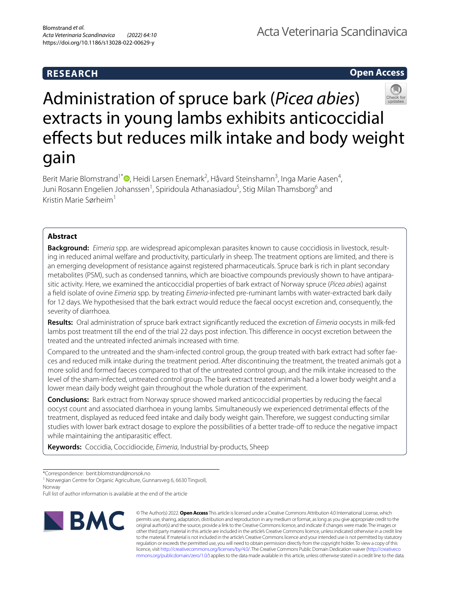# **RESEARCH**

**Open Access**



Berit Marie Blomstrand<sup>1\*</sup><sup>®</sup>[,](http://orcid.org/0000-0003-1429-4305) Heidi Larsen Enemark<sup>2</sup>, Håvard Steinshamn<sup>3</sup>, Inga Marie Aasen<sup>4</sup>, Juni Rosann Engelien Johanssen<sup>1</sup>, Spiridoula Athanasiadou<sup>5</sup>, Stig Milan Thamsborg<sup>6</sup> and Kristin Marie Sørheim1

# **Abstract**

gain

**Background:** *Eimeria* spp. are widespread apicomplexan parasites known to cause coccidiosis in livestock, resulting in reduced animal welfare and productivity, particularly in sheep. The treatment options are limited, and there is an emerging development of resistance against registered pharmaceuticals. Spruce bark is rich in plant secondary metabolites (PSM), such as condensed tannins, which are bioactive compounds previously shown to have antiparasitic activity. Here, we examined the anticoccidial properties of bark extract of Norway spruce (*Picea abies*) against a feld isolate of ovine *Eimeria* spp. by treating *Eimeria*-infected pre-ruminant lambs with water-extracted bark daily for 12 days. We hypothesised that the bark extract would reduce the faecal oocyst excretion and, consequently, the severity of diarrhoea.

**Results:** Oral administration of spruce bark extract signifcantly reduced the excretion of *Eimeria* oocysts in milk-fed lambs post treatment till the end of the trial 22 days post infection. This diference in oocyst excretion between the treated and the untreated infected animals increased with time.

Compared to the untreated and the sham-infected control group, the group treated with bark extract had softer faeces and reduced milk intake during the treatment period. After discontinuing the treatment, the treated animals got a more solid and formed faeces compared to that of the untreated control group, and the milk intake increased to the level of the sham-infected, untreated control group. The bark extract treated animals had a lower body weight and a lower mean daily body weight gain throughout the whole duration of the experiment.

**Conclusions:** Bark extract from Norway spruce showed marked anticoccidial properties by reducing the faecal oocyst count and associated diarrhoea in young lambs. Simultaneously we experienced detrimental efects of the treatment, displayed as reduced feed intake and daily body weight gain. Therefore, we suggest conducting similar studies with lower bark extract dosage to explore the possibilities of a better trade-off to reduce the negative impact while maintaining the antiparasitic effect.

**Keywords:** Coccidia, Coccidiocide, *Eimeria*, Industrial by-products, Sheep

<sup>1</sup> Norwegian Centre for Organic Agriculture, Gunnarsveg 6, 6630 Tingvoll, Norway

Full list of author information is available at the end of the article



© The Author(s) 2022. **Open Access** This article is licensed under a Creative Commons Attribution 4.0 International License, which permits use, sharing, adaptation, distribution and reproduction in any medium or format, as long as you give appropriate credit to the original author(s) and the source, provide a link to the Creative Commons licence, and indicate if changes were made. The images or other third party material in this article are included in the article's Creative Commons licence, unless indicated otherwise in a credit line to the material. If material is not included in the article's Creative Commons licence and your intended use is not permitted by statutory regulation or exceeds the permitted use, you will need to obtain permission directly from the copyright holder. To view a copy of this licence, visit [http://creativecommons.org/licenses/by/4.0/.](http://creativecommons.org/licenses/by/4.0/) The Creative Commons Public Domain Dedication waiver ([http://creativeco](http://creativecommons.org/publicdomain/zero/1.0/) [mmons.org/publicdomain/zero/1.0/](http://creativecommons.org/publicdomain/zero/1.0/)) applies to the data made available in this article, unless otherwise stated in a credit line to the data.

<sup>\*</sup>Correspondence: berit.blomstrand@norsok.no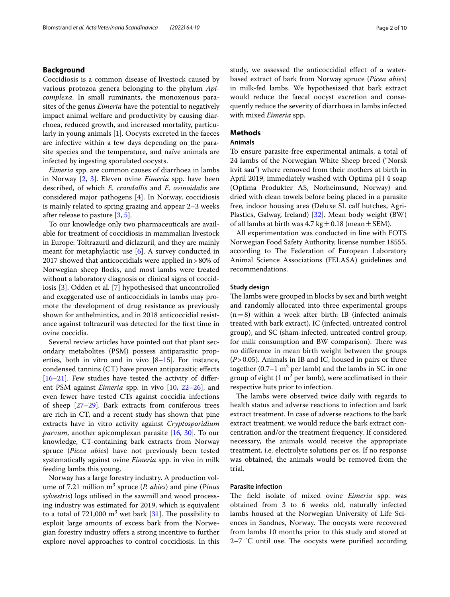### **Background**

Coccidiosis is a common disease of livestock caused by various protozoa genera belonging to the phylum *Apicomplexa*. In small ruminants, the monoxenous parasites of the genus *Eimeria* have the potential to negatively impact animal welfare and productivity by causing diarrhoea, reduced growth, and increased mortality, particularly in young animals [\[1](#page-8-0)]. Oocysts excreted in the faeces are infective within a few days depending on the parasite species and the temperature, and naïve animals are infected by ingesting sporulated oocysts.

*Eimeria* spp. are common causes of diarrhoea in lambs in Norway [\[2](#page-8-1), [3](#page-8-2)]. Eleven ovine *Eimeria* spp. have been described, of which *E. crandallis* and *E. ovinoidalis* are considered major pathogens [[4](#page-8-3)]. In Norway, coccidiosis is mainly related to spring grazing and appear 2–3 weeks after release to pasture [[3,](#page-8-2) [5](#page-8-4)].

To our knowledge only two pharmaceuticals are available for treatment of coccidiosis in mammalian livestock in Europe: Toltrazuril and diclazuril, and they are mainly meant for metaphylactic use [[6\]](#page-8-5). A survey conducted in 2017 showed that anticoccidials were applied in>80% of Norwegian sheep focks, and most lambs were treated without a laboratory diagnosis or clinical signs of coccidiosis [[3\]](#page-8-2). Odden et al. [\[7](#page-8-6)] hypothesised that uncontrolled and exaggerated use of anticoccidials in lambs may promote the development of drug resistance as previously shown for anthelmintics, and in 2018 anticoccidial resistance against toltrazuril was detected for the frst time in ovine coccidia.

Several review articles have pointed out that plant secondary metabolites (PSM) possess antiparasitic properties, both in vitro and in vivo  $[8-15]$  $[8-15]$ . For instance, condensed tannins (CT) have proven antiparasitic efects [[16–](#page-8-9)[21](#page-9-0)]. Few studies have tested the activity of diferent PSM against *Eimeria* spp. in vivo [\[10,](#page-8-10) [22](#page-9-1)[–26\]](#page-9-2), and even fewer have tested CTs against coccidia infections of sheep  $[27-29]$  $[27-29]$ . Bark extracts from coniferous trees are rich in CT, and a recent study has shown that pine extracts have in vitro activity against *Cryptosporidium parvum*, another apicomplexan parasite [[16](#page-8-9), [30\]](#page-9-5). To our knowledge, CT-containing bark extracts from Norway spruce (*Picea abies*) have not previously been tested systematically against ovine *Eimeria* spp. in vivo in milk feeding lambs this young.

Norway has a large forestry industry. A production volume of 7.21 million m<sup>3</sup> spruce (*P. abies*) and pine (*Pinus sylvestris*) logs utilised in the sawmill and wood processing industry was estimated for 2019, which is equivalent to a total of 721,000  $m^3$  wet bark [[31\]](#page-9-6). The possibility to exploit large amounts of excess bark from the Norwegian forestry industry ofers a strong incentive to further explore novel approaches to control coccidiosis. In this

study, we assessed the anticoccidial efect of a waterbased extract of bark from Norway spruce (*Picea abies*) in milk-fed lambs. We hypothesized that bark extract would reduce the faecal oocyst excretion and consequently reduce the severity of diarrhoea in lambs infected with mixed *Eimeria* spp.

# **Methods**

## **Animals**

To ensure parasite-free experimental animals, a total of 24 lambs of the Norwegian White Sheep breed ("Norsk kvit sau") where removed from their mothers at birth in April 2019, immediately washed with Optima pH 4 soap (Optima Produkter AS, Norheimsund, Norway) and dried with clean towels before being placed in a parasite free, indoor housing area (Deluxe SL calf hutches, Agri-Plastics, Galway, Ireland) [[32\]](#page-9-7). Mean body weight (BW) of all lambs at birth was  $4.7 \text{ kg} \pm 0.18 \text{ (mean} \pm \text{SEM)}$ .

All experimentation was conducted in line with FOTS Norwegian Food Safety Authority, license number 18555, according to The Federation of European Laboratory Animal Science Associations (FELASA) guidelines and recommendations.

### **Study design**

The lambs were grouped in blocks by sex and birth weight and randomly allocated into three experimental groups  $(n=8)$  within a week after birth: IB (infected animals treated with bark extract), IC (infected, untreated control group), and SC (sham-infected, untreated control group; for milk consumption and BW comparison). There was no diference in mean birth weight between the groups (*P*>0.05). Animals in IB and IC, housed in pairs or three together  $(0.7-1 \text{ m}^2 \text{ per lamb})$  and the lambs in SC in one group of eight  $(1 \text{ m}^2 \text{ per lambda})$ , were acclimatised in their respective huts prior to infection.

The lambs were observed twice daily with regards to health status and adverse reactions to infection and bark extract treatment. In case of adverse reactions to the bark extract treatment, we would reduce the bark extract concentration and/or the treatment frequency. If considered necessary, the animals would receive the appropriate treatment, i.e. electrolyte solutions per os. If no response was obtained, the animals would be removed from the trial.

### **Parasite infection**

The field isolate of mixed ovine *Eimeria* spp. was obtained from 3 to 6 weeks old, naturally infected lambs housed at the Norwegian University of Life Sciences in Sandnes, Norway. The oocysts were recovered from lambs 10 months prior to this study and stored at  $2-7$  °C until use. The oocysts were purified according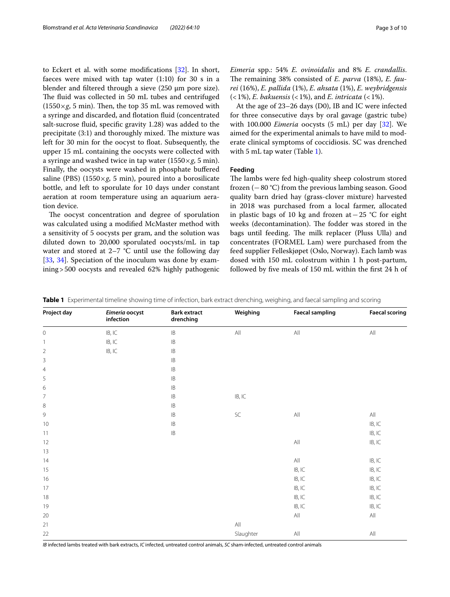to Eckert et al. with some modifications [[32\]](#page-9-7). In short, faeces were mixed with tap water  $(1:10)$  for 30 s in a blender and fltered through a sieve (250 µm pore size). The fluid was collected in 50 mL tubes and centrifuged  $(1550 \times g, 5 \text{ min})$ . Then, the top 35 mL was removed with a syringe and discarded, and flotation fluid (concentrated salt-sucrose fuid, specifc gravity 1.28) was added to the precipitate  $(3:1)$  and thoroughly mixed. The mixture was left for 30 min for the oocyst to foat. Subsequently, the upper 15 mL containing the oocysts were collected with a syringe and washed twice in tap water  $(1550 \times g, 5 \text{ min})$ . Finally, the oocysts were washed in phosphate bufered saline (PBS)  $(1550 \times g, 5 \text{ min})$ , poured into a borosilicate bottle, and left to sporulate for 10 days under constant aeration at room temperature using an aquarium aeration device.

The oocyst concentration and degree of sporulation was calculated using a modifed McMaster method with a sensitivity of 5 oocysts per gram, and the solution was diluted down to 20,000 sporulated oocysts/mL in tap water and stored at  $2-7$  °C until use the following day [[33,](#page-9-8) [34](#page-9-9)]. Speciation of the inoculum was done by examining>500 oocysts and revealed 62% highly pathogenic *Eimeria* spp.: 54% *E. ovinoidalis* and 8% *E. crandallis*. The remaining 38% consisted of *E. parva* (18%), *E. faurei* (16%), *E. pallida* (1%), *E. ahsata* (1%), *E. weybridgensis* (<1%), *E. bakuensis* (<1%), and *E. intricata* (<1%).

At the age of 23–26 days (D0), IB and IC were infected for three consecutive days by oral gavage (gastric tube) with 100.000 *Eimeria* oocysts (5 mL) per day [[32](#page-9-7)]. We aimed for the experimental animals to have mild to moderate clinical symptoms of coccidiosis. SC was drenched with 5 mL tap water (Table [1\)](#page-2-0).

### **Feeding**

The lambs were fed high-quality sheep colostrum stored frozen (−80 °C) from the previous lambing season. Good quality barn dried hay (grass-clover mixture) harvested in 2018 was purchased from a local farmer, allocated in plastic bags of 10 kg and frozen at−25 °C for eight weeks (decontamination). The fodder was stored in the bags until feeding. The milk replacer (Pluss Ulla) and concentrates (FORMEL Lam) were purchased from the feed supplier Felleskjøpet (Oslo, Norway). Each lamb was dosed with 150 mL colostrum within 1 h post-partum, followed by fve meals of 150 mL within the frst 24 h of

<span id="page-2-0"></span>

|  | Table 1 Experimental timeline showing time of infection, bark extract drenching, weighing, and faecal sampling and scoring |  |  |  |
|--|----------------------------------------------------------------------------------------------------------------------------|--|--|--|
|  |                                                                                                                            |  |  |  |

| Project day              | Eimeria oocyst<br>infection | <b>Bark extract</b><br>drenching | Weighing                   | <b>Faecal sampling</b>     | <b>Faecal scoring</b>      |
|--------------------------|-----------------------------|----------------------------------|----------------------------|----------------------------|----------------------------|
| $\mathbf 0$              | IB, IC                      | $\mathsf{IB}$                    | All                        | $\mathsf{All}$             | $\mathsf{All}$             |
| $\overline{\phantom{a}}$ | $\mathsf{IB}, \mathsf{IC}$  | $\mathsf{IB}$                    |                            |                            |                            |
| $\overline{2}$           | IB, IC                      | $\mathsf{IB}$                    |                            |                            |                            |
| 3                        |                             | $\mathsf{IB}$                    |                            |                            |                            |
| $\overline{4}$           |                             | $\mathsf{IB}$                    |                            |                            |                            |
| 5                        |                             | $\mathsf{IB}$                    |                            |                            |                            |
| 6                        |                             | IB                               |                            |                            |                            |
| $\overline{7}$           |                             | IB                               | $\mathsf{IB}, \mathsf{IC}$ |                            |                            |
| $\,8\,$                  |                             | IB                               |                            |                            |                            |
| $\overline{9}$           |                             | $\mathsf{IB}$                    | $\mathsf{SC}$              | All                        | $\mathsf{All}$             |
| 10                       |                             | $\mathsf{IB}$                    |                            |                            | $\mathsf{IB}, \mathsf{IC}$ |
| 11                       |                             | $\mathsf{IB}$                    |                            |                            | $\mathsf{IB}, \mathsf{IC}$ |
| 12                       |                             |                                  |                            | $\mathsf{All}$             | $\mathsf{IB}, \mathsf{IC}$ |
| 13                       |                             |                                  |                            |                            |                            |
| 14                       |                             |                                  |                            | $\mathsf{All}$             | $\mathsf{IB}, \mathsf{IC}$ |
| 15                       |                             |                                  |                            | $\mathsf{IB}, \mathsf{IC}$ | $\mathsf{IB}, \mathsf{IC}$ |
| 16                       |                             |                                  |                            | $\mathsf{IB}, \mathsf{IC}$ | $\mathsf{IB}, \mathsf{IC}$ |
| 17                       |                             |                                  |                            | $\mathsf{IB}, \mathsf{IC}$ | $\mathsf{IB}, \mathsf{IC}$ |
| 18                       |                             |                                  |                            | $\mathsf{IB}, \mathsf{IC}$ | $\mathsf{IB}, \mathsf{IC}$ |
| 19                       |                             |                                  |                            | $\mathsf{IB}, \mathsf{IC}$ | $\mathsf{IB}, \mathsf{IC}$ |
| 20                       |                             |                                  |                            | $\mathsf{All}$             | $\mathsf{All}$             |
| 21                       |                             |                                  | $\mathsf{All}$             |                            |                            |
| 22                       |                             |                                  | Slaughter                  | All                        | $\mathsf{All}$             |

*IB* infected lambs treated with bark extracts, *IC* infected, untreated control animals, *SC* sham-infected, untreated control animals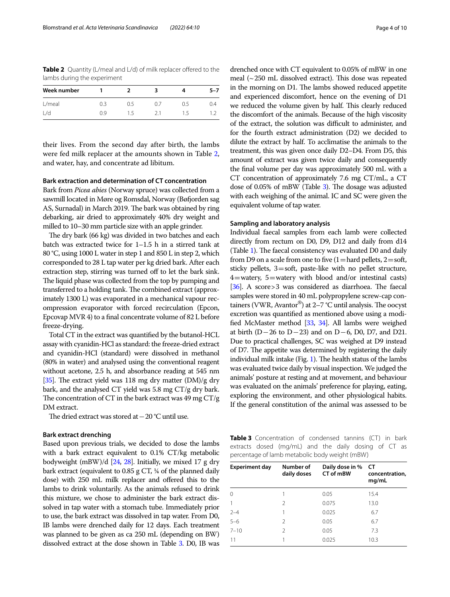<span id="page-3-0"></span>**Table 2** Quantity (L/meal and L/d) of milk replacer offered to the lambs during the experiment

| Week number |     |      |     |     | 5–7 |
|-------------|-----|------|-----|-----|-----|
| $L/m$ eal   | 0.3 | 0.5  | (1) | D 5 | 0.4 |
| l /d        | N 9 | 5. ا |     | 15. |     |

their lives. From the second day after birth, the lambs were fed milk replacer at the amounts shown in Table [2](#page-3-0), and water, hay, and concentrate ad libitum.

### **Bark extraction and determination of CT concentration**

Bark from *Picea abies* (Norway spruce) was collected from a sawmill located in Møre og Romsdal, Norway (Bøfjorden sag AS, Surnadal) in March 2019. The bark was obtained by ring debarking, air dried to approximately 40% dry weight and milled to 10–30 mm particle size with an apple grinder.

The dry bark (66 kg) was divided in two batches and each batch was extracted twice for 1–1.5 h in a stirred tank at 80 °C, using 1000 L water in step 1 and 850 L in step 2, which corresponded to 28 L tap water per kg dried bark. After each extraction step, stirring was turned off to let the bark sink. The liquid phase was collected from the top by pumping and transferred to a holding tank. The combined extract (approximately 1300 L) was evaporated in a mechanical vapour recompression evaporator with forced recirculation (Epcon, Epcovap MVR 4) to a fnal concentrate volume of 82 L before freeze-drying.

Total CT in the extract was quantifed by the butanol-HCL assay with cyanidin-HCl as standard: the freeze-dried extract and cyanidin-HCl (standard) were dissolved in methanol (80% in water) and analysed using the conventional reagent without acetone, 2.5 h, and absorbance reading at 545 nm [[35\]](#page-9-10). The extract yield was 118 mg dry matter  $(DM)/g$  dry bark, and the analysed CT yield was 5.8 mg CT/g dry bark. The concentration of CT in the bark extract was  $49 \text{ mg CT/g}$ DM extract.

The dried extract was stored at – 20 °C until use.

### **Bark extract drenching**

Based upon previous trials, we decided to dose the lambs with a bark extract equivalent to 0.1% CT/kg metabolic bodyweight (mBW)/d [\[24,](#page-9-11) [28](#page-9-12)]. Initially, we mixed 17 g dry bark extract (equivalent to 0.85 g CT, ¼ of the planned daily dose) with 250 mL milk replacer and ofered this to the lambs to drink voluntarily. As the animals refused to drink this mixture, we chose to administer the bark extract dissolved in tap water with a stomach tube. Immediately prior to use, the bark extract was dissolved in tap water. From D0, IB lambs were drenched daily for 12 days. Each treatment was planned to be given as ca 250 mL (depending on BW) dissolved extract at the dose shown in Table [3](#page-3-1). D0, IB was

drenched once with CT equivalent to 0.05% of mBW in one meal  $\sim$  250 mL dissolved extract). This dose was repeated in the morning on D1. The lambs showed reduced appetite and experienced discomfort, hence on the evening of D1 we reduced the volume given by half. This clearly reduced the discomfort of the animals. Because of the high viscosity of the extract, the solution was difficult to administer, and for the fourth extract administration (D2) we decided to dilute the extract by half. To acclimatise the animals to the treatment, this was given once daily D2–D4. From D5, this amount of extract was given twice daily and consequently the fnal volume per day was approximately 500 mL with a CT concentration of approximately 7.6 mg CT/mL, a CT dose of  $0.05\%$  of mBW (Table [3\)](#page-3-1). The dosage was adjusted with each weighing of the animal. IC and SC were given the equivalent volume of tap water.

### **Sampling and laboratory analysis**

Individual faecal samples from each lamb were collected directly from rectum on D0, D9, D12 and daily from d14 (Table [1\)](#page-2-0). The faecal consistency was evaluated D0 and daily from D9 on a scale from one to five  $(1=$  hard pellets,  $2=$  soft, sticky pellets, 3=soft, paste-like with no pellet structure,  $4=$  watery,  $5=$  watery with blood and/or intestinal casts) [ $36$ ]. A score > 3 was considered as diarrhoea. The faecal samples were stored in 40 mL polypropylene screw-cap containers (VWR, Avantor®) at 2-7 °C until analysis. The oocyst excretion was quantifed as mentioned above using a modifed McMaster method [\[33](#page-9-8), [34\]](#page-9-9). All lambs were weighed at birth (D−26 to D−23) and on D−6, D0, D7, and D21. Due to practical challenges, SC was weighed at D9 instead of D7. The appetite was determined by registering the daily individual milk intake (Fig. [1\)](#page-4-0). The health status of the lambs was evaluated twice daily by visual inspection. We judged the animals' posture at resting and at movement, and behaviour was evaluated on the animals' preference for playing, eating, exploring the environment, and other physiological habits. If the general constitution of the animal was assessed to be

<span id="page-3-1"></span>**Table 3** Concentration of condensed tannins (CT) in bark extracts dosed (mg/mL) and the daily dosing of CT as percentage of lamb metabolic body weight (mBW)

| <b>Experiment day</b> | Number of<br>daily doses | Daily dose in %<br>CT of mBW | СT<br>concentration,<br>mg/mL |
|-----------------------|--------------------------|------------------------------|-------------------------------|
| $\Omega$              |                          | 0.05                         | 15.4                          |
|                       | 2                        | 0.075                        | 13.0                          |
| $2 - 4$               |                          | 0.025                        | 6.7                           |
| $5 - 6$               | $\mathcal{P}$            | 0.05                         | 6.7                           |
| $7 - 10$              | $\mathcal{P}$            | 0.05                         | 7.3                           |
| 11                    |                          | 0.025                        | 10.3                          |
|                       |                          |                              |                               |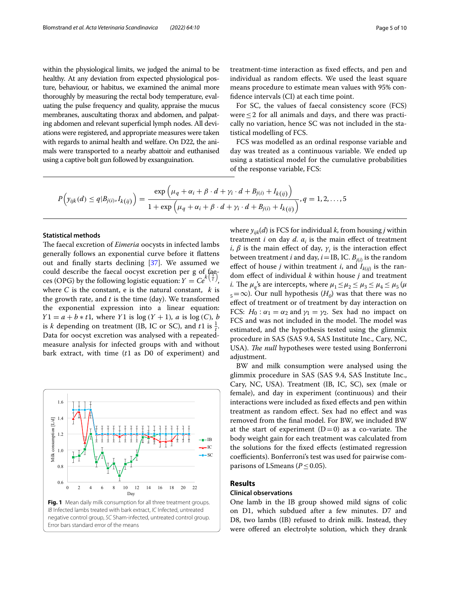within the physiological limits, we judged the animal to be healthy. At any deviation from expected physiological posture, behaviour, or habitus, we examined the animal more thoroughly by measuring the rectal body temperature, evaluating the pulse frequency and quality, appraise the mucus membranes, auscultating thorax and abdomen, and palpating abdomen and relevant superficial lymph nodes. All deviations were registered, and appropriate measures were taken with regards to animal health and welfare. On D22, the animals were transported to a nearby abattoir and euthanised using a captive bolt gun followed by exsanguination.

treatment-time interaction as fxed efects, and pen and individual as random efects. We used the least square means procedure to estimate mean values with 95% confdence intervals (CI) at each time point.

For SC, the values of faecal consistency score (FCS) were $\leq$  2 for all animals and days, and there was practically no variation, hence SC was not included in the statistical modelling of FCS.

FCS was modelled as an ordinal response variable and day was treated as a continuous variable. We ended up using a statistical model for the cumulative probabilities of the response variable, FCS:

$$
P(y_{ijk}(d) \leq q | B_{j(i)}, I_{k(ij)}) = \frac{\exp \left(\mu_q + \alpha_i + \beta \cdot d + \gamma_i \cdot d + B_{j(i)} + I_{k(ij)}\right)}{1 + \exp \left(\mu_q + \alpha_i + \beta \cdot d + \gamma_i \cdot d + B_{j(i)} + I_{k(ij)}\right)}, q = 1, 2, ..., 5
$$

# **Statistical methods**

The faecal excretion of *Eimeria* oocysts in infected lambs generally follows an exponential curve before it fattens out and fnally starts declining [\[37](#page-9-14)]. We assumed we could describe the faecal oocyst excretion per g of fae-<br>ces (OPG) by the following logistic equation:  $Y = Ce^{k(\frac{1}{t})}$ , , where C is the constant, e is the natural constant,  $k$  is the growth rate, and  $t$  is the time (day). We transformed the exponential expression into a linear equation:  $Y1 = a + b * t1$ , where Y1 is  $log(Y + 1)$ , a is  $log(C)$ , b is k depending on treatment (IB, IC or SC), and t1 is  $\frac{1}{t}$ . Data for oocyst excretion was analysed with a repeatedmeasure analysis for infected groups with and without bark extract, with time  $(t1$  as D0 of experiment) and

<span id="page-4-0"></span>

where  $y_{ijk}(d)$  is FCS for individual *k*, from housing *j* within treatment *i* on day *d*.  $\alpha_i$  is the main effect of treatment *i*,  $\beta$  is the main effect of day,  $\gamma_i$  is the interaction effect between treatment *i* and day,  $i$  = IB, IC.  $B_{j(i)}$  is the random effect of house *j* within treatment *i*, and  $I_{k(ij)}$  is the random efect of individual *k* within house *j* and treatment *i*. The  $\mu_q$ 's are intercepts, where  $\mu_1 \le \mu_2 \le \mu_3 \le \mu_4 \le \mu_5$  ( $\mu$  $\epsilon_5 = \infty$ ). Our null hypothesis (*H*<sub>0</sub>) was that there was no efect of treatment or of treatment by day interaction on FCS:  $H_0: \alpha_1 = \alpha_2$  and  $\gamma_1 = \gamma_2$ . Sex had no impact on FCS and was not included in the model. The model was estimated, and the hypothesis tested using the glimmix procedure in SAS (SAS 9.4, SAS Institute Inc., Cary, NC, USA). *The null* hypotheses were tested using Bonferroni adjustment.

BW and milk consumption were analysed using the glimmix procedure in SAS (SAS 9.4, SAS Institute Inc., Cary, NC, USA). Treatment (IB, IC, SC), sex (male or female), and day in experiment (continuous) and their interactions were included as fxed efects and pen within treatment as random efect. Sex had no efect and was removed from the fnal model. For BW, we included BW at the start of experiment  $(D=0)$  as a co-variate. The body weight gain for each treatment was calculated from the solutions for the fxed efects (estimated regression coefficients). Bonferroni's test was used for pairwise comparisons of LSmeans ( $P \leq 0.05$ ).

# **Results**

### **Clinical observations**

One lamb in the IB group showed mild signs of colic on D1, which subdued after a few minutes. D7 and D8, two lambs (IB) refused to drink milk. Instead, they were offered an electrolyte solution, which they drank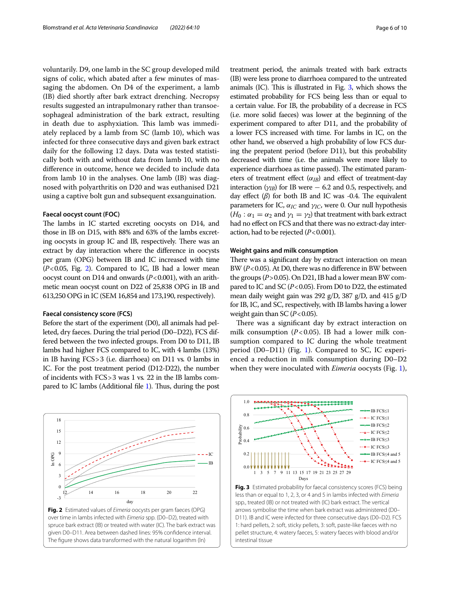voluntarily. D9, one lamb in the SC group developed mild signs of colic, which abated after a few minutes of massaging the abdomen. On D4 of the experiment, a lamb (IB) died shortly after bark extract drenching. Necropsy results suggested an intrapulmonary rather than transoesophageal administration of the bark extract, resulting in death due to asphyxiation. This lamb was immediately replaced by a lamb from SC (lamb 10), which was infected for three consecutive days and given bark extract daily for the following 12 days. Data was tested statistically both with and without data from lamb 10, with no diference in outcome, hence we decided to include data from lamb 10 in the analyses. One lamb (IB) was diagnosed with polyarthritis on D20 and was euthanised D21 using a captive bolt gun and subsequent exsanguination.

### **Faecal oocyst count (FOC)**

The lambs in IC started excreting oocysts on D14, and those in IB on D15, with 88% and 63% of the lambs excreting oocysts in group IC and IB, respectively. There was an extract by day interaction where the diference in oocysts per gram (OPG) between IB and IC increased with time  $(P<0.05$ , Fig. [2\)](#page-5-0). Compared to IC, IB had a lower mean oocyst count on D14 and onwards (*P*<0.001), with an arithmetic mean oocyst count on D22 of 25,838 OPG in IB and 613,250 OPG in IC (SEM 16,854 and 173,190, respectively).

### **Faecal consistency score (FCS)**

Before the start of the experiment (D0), all animals had pelleted, dry faeces. During the trial period (D0–D22), FCS differed between the two infected groups. From D0 to D11, IB lambs had higher FCS compared to IC, with 4 lambs (13%) in IB having FCS>3 (i.e. diarrhoea) on D11 vs*.* 0 lambs in IC. For the post treatment period (D12-D22), the number of incidents with FCS>3 was 1 vs*.* 22 in the IB lambs com-pared to IC lambs (Additional file [1](#page-8-11)). Thus, during the post



<span id="page-5-0"></span>

treatment period, the animals treated with bark extracts (IB) were less prone to diarrhoea compared to the untreated animals  $(IC)$ . This is illustrated in Fig. [3,](#page-5-1) which shows the estimated probability for FCS being less than or equal to a certain value. For IB, the probability of a decrease in FCS (i.e. more solid faeces) was lower at the beginning of the experiment compared to after D11, and the probability of a lower FCS increased with time. For lambs in IC, on the other hand, we observed a high probability of low FCS during the prepatent period (before D11), but this probability decreased with time (i.e. the animals were more likely to experience diarrhoea as time passed). The estimated parameters of treatment effect  $(\alpha_{IB})$  and effect of treatment-day interaction ( $\gamma_{IB}$ ) for IB were  $-$  6.2 and 0.5, respectively, and day effect  $(\beta)$  for both IB and IC was -0.4. The equivalent parameters for IC,  $\alpha_{IC}$  and  $\gamma_{IC}$ , were 0. Our null hypothesis  $(H_0: \alpha_1 = \alpha_2$  and  $\gamma_1 = \gamma_2$ ) that treatment with bark extract had no effect on FCS and that there was no extract-day interaction, had to be rejected (*P*<0.001).

### **Weight gains and milk consumption**

There was a significant day by extract interaction on mean BW (*P*<0.05). At D0, there was no diference in BW between the groups (*P*>0.05). On D21, IB had a lower mean BW compared to IC and SC (*P*<0.05). From D0 to D22, the estimated mean daily weight gain was 292 g/D, 387 g/D, and 415 g/D for IB, IC, and SC, respectively, with IB lambs having a lower weight gain than SC  $(P<0.05)$ .

There was a significant day by extract interaction on milk consumption  $(P<0.05)$ . IB had a lower milk consumption compared to IC during the whole treatment period (D0–D11) (Fig. [1](#page-4-0)). Compared to SC, IC experienced a reduction in milk consumption during D0–D2 when they were inoculated with *Eimeria* oocysts (Fig. [1](#page-4-0)),



<span id="page-5-1"></span>**Fig. 3** Estimated probability for faecal consistency scores (FCS) being less than or equal to 1, 2, 3, or 4 and 5 in lambs infected with *Eimeria* spp., treated (IB) or not treated with (IC) bark extract. The vertical arrows symbolise the time when bark extract was administered (D0– D11). IB and IC were infected for three consecutive days (D0–D2). FCS 1: hard pellets, 2: soft, sticky pellets, 3: soft, paste-like faeces with no pellet structure, 4: watery faeces, 5: watery faeces with blood and/or intestinal tissue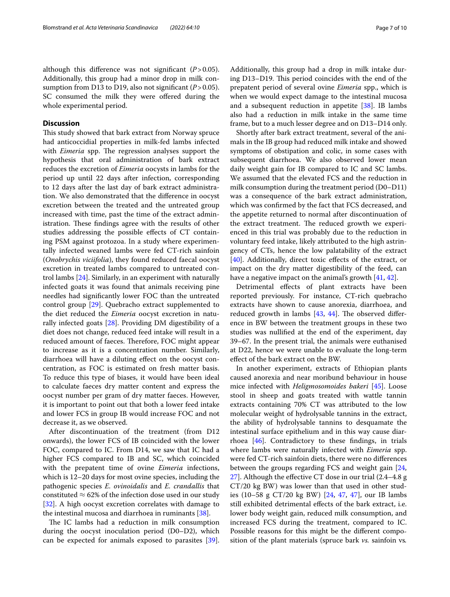although this diference was not signifcant (*P*>0.05). Additionally, this group had a minor drop in milk consumption from D13 to D19, also not signifcant (*P*>0.05). SC consumed the milk they were offered during the whole experimental period.

# **Discussion**

This study showed that bark extract from Norway spruce had anticoccidial properties in milk-fed lambs infected with *Eimeria* spp. The regression analyses support the hypothesis that oral administration of bark extract reduces the excretion of *Eimeria* oocysts in lambs for the period up until 22 days after infection, corresponding to 12 days after the last day of bark extract administration. We also demonstrated that the diference in oocyst excretion between the treated and the untreated group increased with time, past the time of the extract administration. These findings agree with the results of other studies addressing the possible efects of CT containing PSM against protozoa. In a study where experimentally infected weaned lambs were fed CT-rich sainfoin (*Onobrychis viciifolia*), they found reduced faecal oocyst excretion in treated lambs compared to untreated control lambs [[24\]](#page-9-11). Similarly, in an experiment with naturally infected goats it was found that animals receiving pine needles had signifcantly lower FOC than the untreated control group [[29\]](#page-9-4). Quebracho extract supplemented to the diet reduced the *Eimeria* oocyst excretion in naturally infected goats [\[28](#page-9-12)]. Providing DM digestibility of a diet does not change, reduced feed intake will result in a reduced amount of faeces. Therefore, FOC might appear to increase as it is a concentration number. Similarly, diarrhoea will have a diluting efect on the oocyst concentration, as FOC is estimated on fresh matter basis. To reduce this type of biases, it would have been ideal to calculate faeces dry matter content and express the oocyst number per gram of dry matter faeces. However, it is important to point out that both a lower feed intake and lower FCS in group IB would increase FOC and not decrease it, as we observed.

After discontinuation of the treatment (from D12 onwards), the lower FCS of IB coincided with the lower FOC, compared to IC. From D14, we saw that IC had a higher FCS compared to IB and SC, which coincided with the prepatent time of ovine *Eimeria* infections, which is 12–20 days for most ovine species, including the pathogenic species *E. ovinoidalis* and *E. crandallis* that constituted  $\approx$  62% of the infection dose used in our study [[32\]](#page-9-7). A high oocyst excretion correlates with damage to the intestinal mucosa and diarrhoea in ruminants [[38](#page-9-15)].

The IC lambs had a reduction in milk consumption during the oocyst inoculation period (D0–D2), which can be expected for animals exposed to parasites [\[39](#page-9-16)].

Additionally, this group had a drop in milk intake during D13–D19. This period coincides with the end of the prepatent period of several ovine *Eimeria* spp., which is when we would expect damage to the intestinal mucosa and a subsequent reduction in appetite [\[38\]](#page-9-15). IB lambs also had a reduction in milk intake in the same time frame, but to a much lesser degree and on D13–D14 only.

Shortly after bark extract treatment, several of the animals in the IB group had reduced milk intake and showed symptoms of obstipation and colic, in some cases with subsequent diarrhoea. We also observed lower mean daily weight gain for IB compared to IC and SC lambs. We assumed that the elevated FCS and the reduction in milk consumption during the treatment period (D0–D11) was a consequence of the bark extract administration, which was confrmed by the fact that FCS decreased, and the appetite returned to normal after discontinuation of the extract treatment. The reduced growth we experienced in this trial was probably due to the reduction in voluntary feed intake, likely attributed to the high astringency of CTs, hence the low palatability of the extract [[40\]](#page-9-17). Additionally, direct toxic effects of the extract, or impact on the dry matter digestibility of the feed, can have a negative impact on the animal's growth [[41,](#page-9-18) [42\]](#page-9-19).

Detrimental efects of plant extracts have been reported previously. For instance, CT-rich quebracho extracts have shown to cause anorexia, diarrhoea, and reduced growth in lambs  $[43, 44]$  $[43, 44]$  $[43, 44]$ . The observed difference in BW between the treatment groups in these two studies was nullifed at the end of the experiment, day 39–67. In the present trial, the animals were euthanised at D22, hence we were unable to evaluate the long-term efect of the bark extract on the BW.

In another experiment, extracts of Ethiopian plants caused anorexia and near moribund behaviour in house mice infected with *Heligmosomoides bakeri* [[45\]](#page-9-22). Loose stool in sheep and goats treated with wattle tannin extracts containing 70% CT was attributed to the low molecular weight of hydrolysable tannins in the extract, the ability of hydrolysable tannins to desquamate the intestinal surface epithelium and in this way cause diarrhoea [\[46\]](#page-9-23). Contradictory to these fndings, in trials where lambs were naturally infected with *Eimeria* spp. were fed CT-rich sainfoin diets, there were no diferences between the groups regarding FCS and weight gain [[24](#page-9-11), [27\]](#page-9-3). Although the efective CT dose in our trial (2.4–4.8 g CT/20 kg BW) was lower than that used in other studies (10–58 g CT/20 kg BW) [[24,](#page-9-11) [47,](#page-9-24) [47\]](#page-9-24), our IB lambs still exhibited detrimental efects of the bark extract, i.e. lower body weight gain, reduced milk consumption, and increased FCS during the treatment, compared to IC. Possible reasons for this might be the diferent composition of the plant materials (spruce bark *vs.* sainfoin vs*.*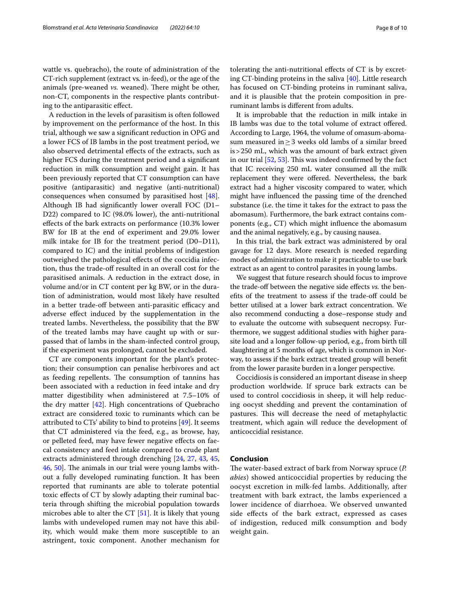wattle vs. quebracho), the route of administration of the CT-rich supplement (extract vs*.* in-feed), or the age of the animals (pre-weaned *vs.* weaned). There might be other, non-CT, components in the respective plants contributing to the antiparasitic efect.

A reduction in the levels of parasitism is often followed by improvement on the performance of the host. In this trial, although we saw a signifcant reduction in OPG and a lower FCS of IB lambs in the post treatment period, we also observed detrimental efects of the extracts, such as higher FCS during the treatment period and a signifcant reduction in milk consumption and weight gain. It has been previously reported that CT consumption can have positive (antiparasitic) and negative (anti-nutritional) consequences when consumed by parasitised host [\[48](#page-9-25)]. Although IB had signifcantly lower overall FOC (D1– D22) compared to IC (98.0% lower), the anti-nutritional efects of the bark extracts on performance (10.3% lower BW for IB at the end of experiment and 29.0% lower milk intake for IB for the treatment period (D0–D11), compared to IC) and the initial problems of indigestion outweighed the pathological efects of the coccidia infection, thus the trade-off resulted in an overall cost for the parasitised animals. A reduction in the extract dose, in volume and/or in CT content per kg BW, or in the duration of administration, would most likely have resulted in a better trade-off between anti-parasitic efficacy and adverse efect induced by the supplementation in the treated lambs. Nevertheless, the possibility that the BW of the treated lambs may have caught up with or surpassed that of lambs in the sham-infected control group, if the experiment was prolonged, cannot be excluded.

CT are components important for the plant's protection; their consumption can penalise herbivores and act as feeding repellents. The consumption of tannins has been associated with a reduction in feed intake and dry matter digestibility when administered at 7.5–10% of the dry matter [\[42](#page-9-19)]. High concentrations of Quebracho extract are considered toxic to ruminants which can be attributed to CTs' ability to bind to proteins  $[49]$  $[49]$  $[49]$ . It seems that CT administered via the feed, e.g., as browse, hay, or pelleted feed, may have fewer negative efects on faecal consistency and feed intake compared to crude plant extracts administered through drenching [[24,](#page-9-11) [27,](#page-9-3) [43](#page-9-20), [45](#page-9-22), [46,](#page-9-23) [50\]](#page-9-27). The animals in our trial were young lambs without a fully developed ruminating function. It has been reported that ruminants are able to tolerate potential toxic efects of CT by slowly adapting their ruminal bacteria through shifting the microbial population towards microbes able to alter the CT [\[51\]](#page-9-28). It is likely that young lambs with undeveloped rumen may not have this ability, which would make them more susceptible to an astringent, toxic component. Another mechanism for tolerating the anti-nutritional efects of CT is by excreting CT-binding proteins in the saliva [[40\]](#page-9-17). Little research has focused on CT-binding proteins in ruminant saliva, and it is plausible that the protein composition in preruminant lambs is diferent from adults.

It is improbable that the reduction in milk intake in IB lambs was due to the total volume of extract ofered. According to Large, 1964, the volume of omasum-abomasum measured in≥3 weeks old lambs of a similar breed is>250 mL, which was the amount of bark extract given in our trial  $[52, 53]$  $[52, 53]$  $[52, 53]$  $[52, 53]$ . This was indeed confirmed by the fact that IC receiving 250 mL water consumed all the milk replacement they were ofered. Nevertheless, the bark extract had a higher viscosity compared to water, which might have infuenced the passing time of the drenched substance (i.e. the time it takes for the extract to pass the abomasum). Furthermore, the bark extract contains components (e.g., CT) which might infuence the abomasum and the animal negatively, e.g., by causing nausea.

In this trial, the bark extract was administered by oral gavage for 12 days. More research is needed regarding modes of administration to make it practicable to use bark extract as an agent to control parasites in young lambs.

We suggest that future research should focus to improve the trade-of between the negative side efects *vs.* the benefts of the treatment to assess if the trade-of could be better utilised at a lower bark extract concentration. We also recommend conducting a dose–response study and to evaluate the outcome with subsequent necropsy. Furthermore, we suggest additional studies with higher parasite load and a longer follow-up period, e.g., from birth till slaughtering at 5 months of age, which is common in Norway, to assess if the bark extract treated group will beneft from the lower parasite burden in a longer perspective.

Coccidiosis is considered an important disease in sheep production worldwide. If spruce bark extracts can be used to control coccidiosis in sheep, it will help reducing oocyst shedding and prevent the contamination of pastures. This will decrease the need of metaphylactic treatment, which again will reduce the development of anticoccidial resistance.

### **Conclusion**

The water-based extract of bark from Norway spruce (*P. abies*) showed anticoccidial properties by reducing the oocyst excretion in milk-fed lambs. Additionally, after treatment with bark extract, the lambs experienced a lower incidence of diarrhoea. We observed unwanted side efects of the bark extract, expressed as cases of indigestion, reduced milk consumption and body weight gain.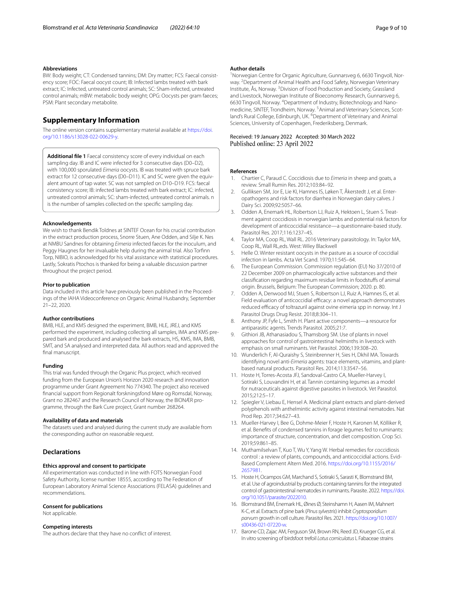#### **Abbreviations**

BW: Body weight; CT: Condensed tannins; DM: Dry matter; FCS: Faecal consistency score; FOC: Faecal oocyst count; IB: Infected lambs treated with bark extract; IC: Infected, untreated control animals; SC: Sham-infected, untreated control animals; mBW: metabolic body weight; OPG: Oocysts per gram faeces; PSM: Plant secondary metabolite.

# **Supplementary Information**

The online version contains supplementary material available at [https://doi.](https://doi.org/10.1186/s13028-022-00629-y) [org/10.1186/s13028-022-00629-y.](https://doi.org/10.1186/s13028-022-00629-y)

<span id="page-8-11"></span>**Additional fle 1** Faecal consistency score of every individual on each sampling day. IB and IC were infected for 3 consecutive days (D0–D2), with 100,000 sporulated *Eimeria* oocysts. IB was treated with spruce bark extract for 12 consecutive days (D0–D11). IC and SC were given the equivalent amount of tap water. SC was not sampled on D10–D19. FCS: faecal consistency score; IB: infected lambs treated with bark extract; IC: infected, untreated control animals; SC: sham-infected, untreated control animals. n is the number of samples collected on the specifc sampling day.

#### **Acknowledgements**

We wish to thank Bendik Toldnes at SINTEF Ocean for his crucial contribution in the extract production process, Snorre Stuen, Ane Odden, and Silje K. Nes at NMBU Sandnes for obtaining *Eimeria* infected faeces for the inoculum, and Peggy Haugnes for her invaluable help during the animal trial. Also Torfnn Torp, NIBIO, is acknowledged for his vital assistance with statistical procedures. Lastly, Sokratis Ptochos is thanked for being a valuable discussion partner throughout the project period.

#### **Prior to publication**

Data included in this article have previously been published in the Proceedings of the IAHA Videoconference on Organic Animal Husbandry, September 21–22, 2020.

#### **Author contributions**

BMB, HLE, and KMS designed the experiment, BMB, HLE, JREJ, and KMS performed the experiment, including collecting all samples, IMA and KMS prepared bark and produced and analysed the bark extracts, HS, KMS, IMA, BMB, SMT, and SA analysed and interpreted data. All authors read and approved the final manuscript.

#### **Funding**

This trial was funded through the Organic Plus project, which received funding from the European Union's Horizon 2020 research and innovation programme under Grant Agreement No 774340. The project also received fnancial support from Regionalt forskningsfond Møre og Romsdal, Norway, Grant no 282467 and the Research Council of Norway, the BIONÆR programme, through the Bark Cure project, Grant number 268264.

#### **Availability of data and materials**

The datasets used and analysed during the current study are available from the corresponding author on reasonable request.

### **Declarations**

### **Ethics approval and consent to participate**

All experimentation was conducted in line with FOTS Norwegian Food Safety Authority, license number 18555, according to The Federation of European Laboratory Animal Science Associations (FELASA) guidelines and recommendations.

#### **Consent for publications**

Not applicable.

### **Competing interests**

The authors declare that they have no confict of interest.

### **Author details**

<sup>1</sup> Norwegian Centre for Organic Agriculture, Gunnarsveg 6, 6630 Tingvoll, Norway. <sup>2</sup> Department of Animal Health and Food Safety, Norwegian Veterinary Institute, Ås, Norway. <sup>3</sup> Division of Food Production and Society, Grassland and Livestock, Norwegian Institute of Bioeconomy Research, Gunnarsveg 6, 6630 Tingvoll, Norway. 4 Department of Industry, Biotechnology and Nanomedicine, SINTEF, Trondheim, Norway. <sup>5</sup> Animal and Veterinary Sciences, Scotland's Rural College, Edinburgh, UK. <sup>6</sup> Department of Veterinary and Animal Sciences, University of Copenhagen, Frederiksberg, Denmark.

# Received: 19 January 2022 Accepted: 30 March 2022

#### **References**

- <span id="page-8-0"></span>1. Chartier C, Paraud C. Coccidiosis due to *Eimeria* in sheep and goats, a review. Small Rumin Res. 2012;103:84–92.
- <span id="page-8-1"></span>2. Gulliksen SM, Jor E, Lie KI, Hamnes IS, Løken T, Åkerstedt J, et al. Enteropathogens and risk factors for diarrhea in Norwegian dairy calves. J Dairy Sci. 2009;92:5057–66.
- <span id="page-8-2"></span>3. Odden A, Enemark HL, Robertson LJ, Ruiz A, Hektoen L, Stuen S. Treatment against coccidiosis in norwegian lambs and potential risk factors for development of anticoccidial resistance—a questionnaire-based study. Parasitol Res. 2017;116:1237–45.
- <span id="page-8-3"></span>4. Taylor MA, Coop RL, Wall RL. 2016 Veterinary parasitology. In: Taylor MA, Coop RL, Wall RL,eds. West: Wiley Blackwell
- <span id="page-8-4"></span>5. Helle O. Winter resistant oocysts in the pasture as a source of coccidial infection in lambs. Acta Vet Scand. 1970;11:545–64.
- <span id="page-8-5"></span>The European Commission. Commission regulation (EU) No 37/2010 of 22 December 2009 on pharmacologically active substances and their classifcation regarding maximum residue limits in foodstufs of animal origin. Brussels, Belgium: The European Commission; 2020. p. 80.
- <span id="page-8-6"></span>7. Odden A, Denwood MJ, Stuen S, Robertson LJ, Ruiz A, Hamnes IS, et al. Field evaluation of anticoccidial efficacy: a novel approach demonstrates reduced efficacy of toltrazuril against ovine eimeria spp in norway. Int J Parasitol Drugs Drug Resist. 2018;8:304–11.
- <span id="page-8-7"></span>8. Anthony JP, Fyfe L, Smith H. Plant active components—a resource for antiparasitic agents. Trends Parasitol. 2005;21:7.
- 9. Githiori JB, Athanasiadou S, Thamsborg SM. Use of plants in novel approaches for control of gastrointestinal helminths in livestock with emphasis on small ruminants. Vet Parasitol. 2006;139:308–20.
- <span id="page-8-10"></span>10. Wunderlich F, Al-Quraishy S, Steinbrenner H, Sies H, Dkhil MA. Towards identifying novel anti-*Eimeria* agents: trace elements, vitamins, and plantbased natural products. Parasitol Res. 2014;113:3547–56.
- 11. Hoste H, Torres-Acosta JFJ, Sandoval-Castro CA, Mueller-Harvey I, Sotiraki S, Louvandini H, et al. Tannin containing legumes as a model for nutraceuticals against digestive parasites in livestock. Vet Parasitol. 2015;212:5–17.
- 12. Spiegler V, Liebau E, Hensel A. Medicinal plant extracts and plant-derived polyphenols with anthelmintic activity against intestinal nematodes. Nat Prod Rep. 2017;34:627–43.
- 13. Mueller-Harvey I, Bee G, Dohme-Meier F, Hoste H, Karonen M, Kölliker R, et al. Benefts of condensed tannins in forage legumes fed to ruminants: importance of structure, concentration, and diet composition. Crop Sci. 2019;59:861–85.
- 14. Muthamilselvan T, Kuo T, Wu Y, Yang W. Herbal remedies for coccidiosis control : a review of plants, compounds, and anticoccidial actions. Evid-Based Complement Altern Med. 2016. [https://doi.org/10.1155/2016/](https://doi.org/10.1155/2016/2657981) [2657981](https://doi.org/10.1155/2016/2657981).
- <span id="page-8-8"></span>15. Hoste H, Ocampos GM, Marchand S, Sotiraki S, Sarasti K, Blomstrand BM, et al. Use of agroindustrial by products containing tannins for the integrated control of gastrointestinal nematodes in ruminants. Parasite. 2022. [https://doi.](https://doi.org/10.1051/parasite/2022010) [org/10.1051/parasite/2022010.](https://doi.org/10.1051/parasite/2022010)
- <span id="page-8-9"></span>16. Blomstrand BM, Enemark HL, Øines Ø, Steinshamn H, Aasen IM, Mahnert K-C, et al. Extracts of pine bark (*Pinus sylvestris*) inhibit *Cryptosporidium parvum* growth in cell culture. Parasitol Res. 2021. [https://doi.org/10.1007/](https://doi.org/10.1007/s00436-021-07220-w) [s00436-021-07220-w.](https://doi.org/10.1007/s00436-021-07220-w)
- 17. Barone CD, Zajac AM, Ferguson SM, Brown RN, Reed JD, Krueger CG, et al. In vitro screening of birdsfoot trefoil *Lotus corniculatus* L Fabaceae strains